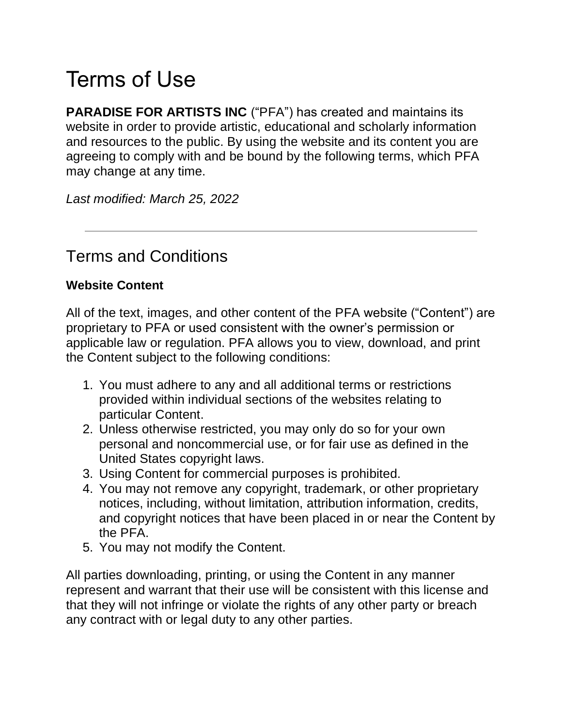# Terms of Use

**PARADISE FOR ARTISTS INC** ("PFA") has created and maintains its website in order to provide artistic, educational and scholarly information and resources to the public. By using the website and its content you are agreeing to comply with and be bound by the following terms, which PFA may change at any time.

*Last modified: March 25, 2022*

# Terms and Conditions

### **Website Content**

All of the text, images, and other content of the PFA website ("Content") are proprietary to PFA or used consistent with the owner's permission or applicable law or regulation. PFA allows you to view, download, and print the Content subject to the following conditions:

- 1. You must adhere to any and all additional terms or restrictions provided within individual sections of the websites relating to particular Content.
- 2. Unless otherwise restricted, you may only do so for your own personal and noncommercial use, or for fair use as defined in the United States copyright laws.
- 3. Using Content for commercial purposes is prohibited.
- 4. You may not remove any copyright, trademark, or other proprietary notices, including, without limitation, attribution information, credits, and copyright notices that have been placed in or near the Content by the PFA.
- 5. You may not modify the Content.

All parties downloading, printing, or using the Content in any manner represent and warrant that their use will be consistent with this license and that they will not infringe or violate the rights of any other party or breach any contract with or legal duty to any other parties.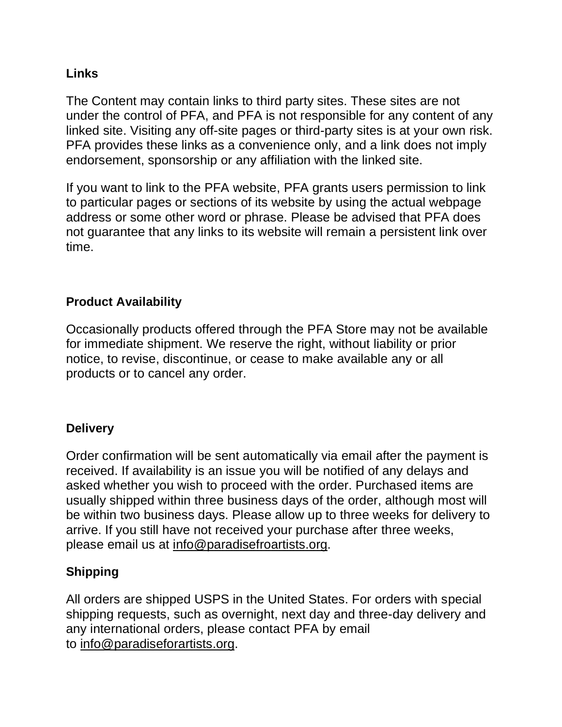#### **Links**

The Content may contain links to third party sites. These sites are not under the control of PFA, and PFA is not responsible for any content of any linked site. Visiting any off-site pages or third-party sites is at your own risk. PFA provides these links as a convenience only, and a link does not imply endorsement, sponsorship or any affiliation with the linked site.

If you want to link to the PFA website, PFA grants users permission to link to particular pages or sections of its website by using the actual webpage address or some other word or phrase. Please be advised that PFA does not guarantee that any links to its website will remain a persistent link over time.

### **Product Availability**

Occasionally products offered through the PFA Store may not be available for immediate shipment. We reserve the right, without liability or prior notice, to revise, discontinue, or cease to make available any or all products or to cancel any order.

# **Delivery**

Order confirmation will be sent automatically via email after the payment is received. If availability is an issue you will be notified of any delays and asked whether you wish to proceed with the order. Purchased items are usually shipped within three business days of the order, although most will be within two business days. Please allow up to three weeks for delivery to arrive. If you still have not received your purchase after three weeks, please email us at [info@paradisefroartists.org.](mailto:info@paradisefroartists.org)

# **Shipping**

All orders are shipped USPS in the United States. For orders with special shipping requests, such as overnight, next day and three-day delivery and any international orders, please contact PFA by email to [info@paradiseforartists.org.](mailto:info@paradiseforartists.org)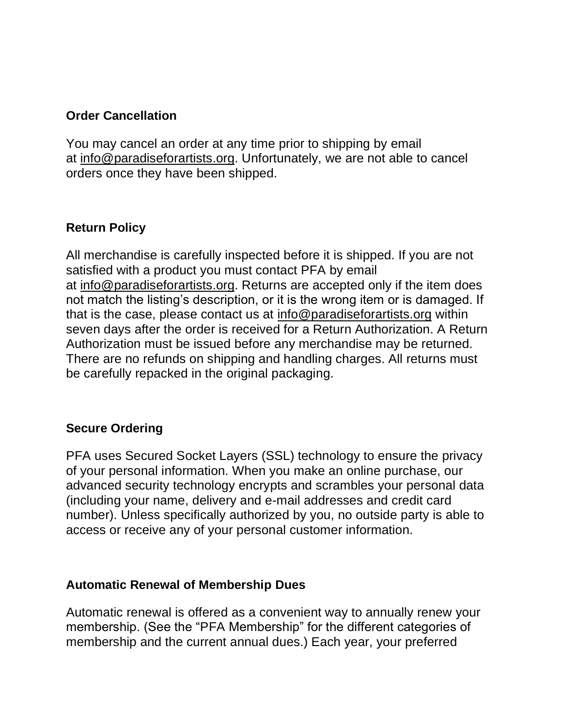#### **Order Cancellation**

You may cancel an order at any time prior to shipping by email at [info@paradiseforartists.org.](mailto:info@paradiseforartists.org) Unfortunately, we are not able to cancel orders once they have been shipped.

#### **Return Policy**

All merchandise is carefully inspected before it is shipped. If you are not satisfied with a product you must contact PFA by email at [info@paradiseforartists.org.](mailto:info@paradiseforartists.org) Returns are accepted only if the item does not match the listing's description, or it is the wrong item or is damaged. If that is the case, please contact us at [info@paradiseforartists.org](mailto:info@paradiseforartists.org) within seven days after the order is received for a Return Authorization. A Return Authorization must be issued before any merchandise may be returned. There are no refunds on shipping and handling charges. All returns must be carefully repacked in the original packaging.

#### **Secure Ordering**

PFA uses Secured Socket Layers (SSL) technology to ensure the privacy of your personal information. When you make an online purchase, our advanced security technology encrypts and scrambles your personal data (including your name, delivery and e-mail addresses and credit card number). Unless specifically authorized by you, no outside party is able to access or receive any of your personal customer information.

#### **Automatic Renewal of Membership Dues**

Automatic renewal is offered as a convenient way to annually renew your membership. (See the "PFA Membership" for the different categories of membership and the current annual dues.) Each year, your preferred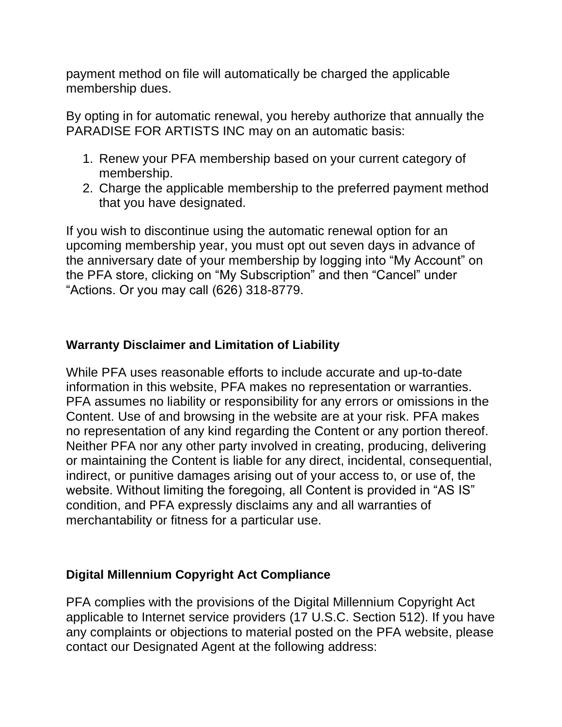payment method on file will automatically be charged the applicable membership dues.

By opting in for automatic renewal, you hereby authorize that annually the PARADISE FOR ARTISTS INC may on an automatic basis:

- 1. Renew your PFA membership based on your current category of membership.
- 2. Charge the applicable membership to the preferred payment method that you have designated.

If you wish to discontinue using the automatic renewal option for an upcoming membership year, you must opt out seven days in advance of the anniversary date of your membership by logging into "My Account" on the PFA store, clicking on "My Subscription" and then "Cancel" under "Actions. Or you may call (626) 318-8779.

#### **Warranty Disclaimer and Limitation of Liability**

While PFA uses reasonable efforts to include accurate and up-to-date information in this website, PFA makes no representation or warranties. PFA assumes no liability or responsibility for any errors or omissions in the Content. Use of and browsing in the website are at your risk. PFA makes no representation of any kind regarding the Content or any portion thereof. Neither PFA nor any other party involved in creating, producing, delivering or maintaining the Content is liable for any direct, incidental, consequential, indirect, or punitive damages arising out of your access to, or use of, the website. Without limiting the foregoing, all Content is provided in "AS IS" condition, and PFA expressly disclaims any and all warranties of merchantability or fitness for a particular use.

#### **Digital Millennium Copyright Act Compliance**

PFA complies with the provisions of the Digital Millennium Copyright Act applicable to Internet service providers (17 U.S.C. Section 512). If you have any complaints or objections to material posted on the PFA website, please contact our Designated Agent at the following address: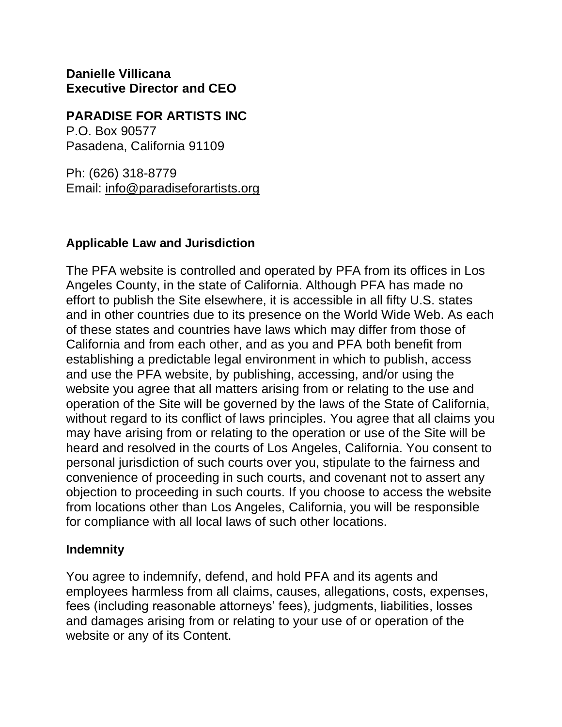**Danielle Villicana Executive Director and CEO**

#### **PARADISE FOR ARTISTS INC**

P.O. Box 90577 Pasadena, California 91109

Ph: (626) 318-8779 Email: [info@paradiseforartists.org](mailto:info@paradiseforartists.org)

#### **Applicable Law and Jurisdiction**

The PFA website is controlled and operated by PFA from its offices in Los Angeles County, in the state of California. Although PFA has made no effort to publish the Site elsewhere, it is accessible in all fifty U.S. states and in other countries due to its presence on the World Wide Web. As each of these states and countries have laws which may differ from those of California and from each other, and as you and PFA both benefit from establishing a predictable legal environment in which to publish, access and use the PFA website, by publishing, accessing, and/or using the website you agree that all matters arising from or relating to the use and operation of the Site will be governed by the laws of the State of California, without regard to its conflict of laws principles. You agree that all claims you may have arising from or relating to the operation or use of the Site will be heard and resolved in the courts of Los Angeles, California. You consent to personal jurisdiction of such courts over you, stipulate to the fairness and convenience of proceeding in such courts, and covenant not to assert any objection to proceeding in such courts. If you choose to access the website from locations other than Los Angeles, California, you will be responsible for compliance with all local laws of such other locations.

#### **Indemnity**

You agree to indemnify, defend, and hold PFA and its agents and employees harmless from all claims, causes, allegations, costs, expenses, fees (including reasonable attorneys' fees), judgments, liabilities, losses and damages arising from or relating to your use of or operation of the website or any of its Content.